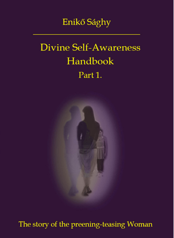# Enikő Sághy

# **Divine Self-Awareness** Handbook Part 1.



The story of the preening-teasing Woman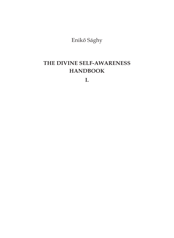Enikő Sághy

# THE DIVINE SELF-AWARENESS **HANDBOOK**

I.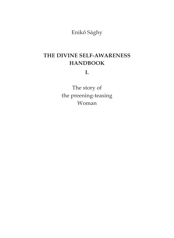Enikő Sághy

## THE DIVINE SELF-AWARENESS **HANDBOOK**

I.

The story of the preening-teasing Woman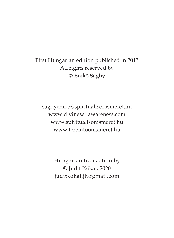## First Hungarian edition published in 2013 All rights reserved by © Enikő Sághy

saghyeniko@spiritualisonismeret.hu www.divineselfawareness.com www.spiritualisonismeret.hu www.teremtoonismeret.hu

> Hungarian translation by © Judit Kókai, 2020 juditkokai.jk@gmail.com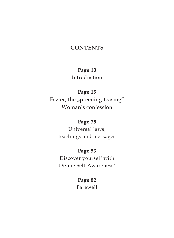#### **CONTENTS**

#### **Page 10**

Introduction

#### **Page 15**

Eszter, the "preening-teasing" Woman's confession

#### **Page 35**

Universal laws, teachings and messages

**Page 53** Discover yourself with Divine Self-Awareness!

> **Page 82** Farewell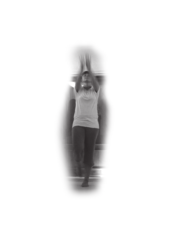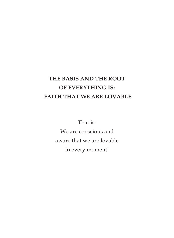# **THE BASIS AND THE ROOT OF EVERYTHING IS: FAITH THAT WE ARE LOVABLE**

That is: We are conscious and aware that we are lovable in every moment!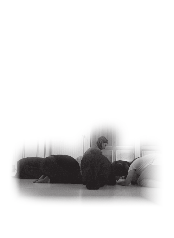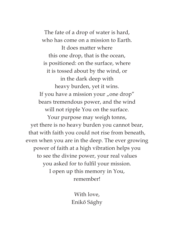The fate of a drop of water is hard, who has come on a mission to Earth. It does matter where this one drop, that is the ocean, is positioned: on the surface, where it is tossed about by the wind, or in the dark deep with heavy burden, yet it wins. If you have a mission your  $n$  one drop" bears tremendous power, and the wind will not ripple You on the surface. Your purpose may weigh tonns, yet there is no heavy burden you cannot bear, that with faith you could not rise from beneath, even when you are in the deep. The ever growing power of faith at a high vibration helps you to see the divine power, your real values you asked for to fulfil your mission. I open up this memory in You, remember!

> With love, Enikő Sághy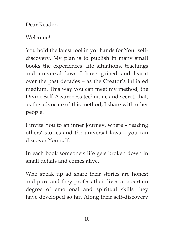Dear Reader,

Welcome!

You hold the latest tool in yor hands for Your selfdiscovery. My plan is to publish in many small books the experiences, life situations, teachings and universal laws I have gained and learnt over the past decades – as the Creator's initiated medium. This way you can meet my method, the Divine Self-Awareness technique and secret, that, as the advocate of this method, I share with other people.

I invite You to an inner journey, where – reading others' stories and the universal laws – you can discover Yourself.

In each book someone's life gets broken down in small details and comes alive.

Who speak up ad share their stories are honest and pure and they profess their lives at a certain degree of emotional and spiritual skills they have developed so far. Along their self-discovery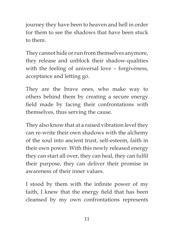journey they have been to heaven and hell in order for them to see the shadows that have been stuck to them.

They cannot hide or run from themselves anymore, they release and unblock their shadow-qualities with the feeling of universal love – forgiveness, acceptance and letting go.

They are the brave ones, who make way to others behind them by creating a secure energy field made by facing their confrontations with themselves, thus serving the cause.

They also know that at a raised vibration level they can re-write their own shadows with the alchemy of the soul into ancient trust, self-esteem, faith in their own power. With this newly released energy they can start all over, they can heal, they can fulfil their purpose, they can deliver their promise in awareness of their inner values.

I stood by them with the infinite power of my faith, I knew that the energy field that has been cleansed by my own confrontations represents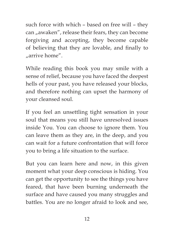such force with which – based on free will – they can "awaken", release their fears, they can become forgiving and accepting, they become capable of believing that they are lovable, and finally to  $<sub>n</sub>$ arrive home".</sub>

While reading this book you may smile with a sense of relief, because you have faced the deepest hells of your past, you have released your blocks, and therefore nothing can upset the harmony of your cleansed soul.

If you feel an unsettling tight sensation in your soul that means you still have unresolved issues inside You. You can choose to ignore them. You can leave them as they are, in the deep, and you can wait for a future confrontation that will force you to bring a life situation to the surface.

But you can learn here and now, in this given moment what your deep conscious is hiding. You can get the opportunity to see the things you have feared, that have been burning underneath the surface and have caused you many struggles and battles. You are no longer afraid to look and see,